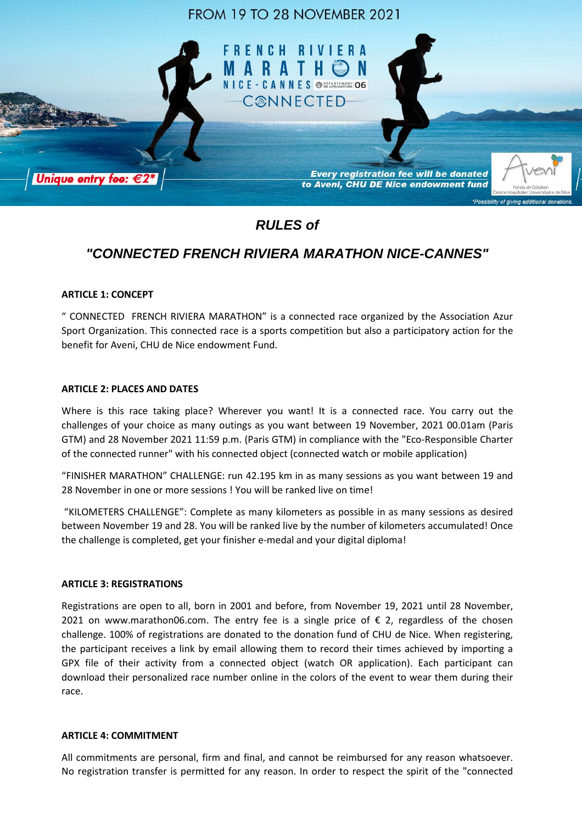

**Every registration fee will be donated** to Aveni, CHU DE Nice endowment fund

# **RULES of**

## **"CONNECTED FRENCH RIVIERA MARATHON NICE-CANNES"**

### **ARTICLE 1: CONCEPT**

Unique entry fee: €2

" CONNECTED FRENCH RIVIERA MARATHON" is a connected race organized by the Association Azur Sport Organization. This connected race is a sports competition but also a participatory action for the benefit for Aveni, CHU de Nice endowment Fund.

#### **ARTICLE 2: PLACES AND DATES**

Where is this race taking place? Wherever you want! It is a connected race. You carry out the challenges of your choice as many outings as you want between 19 November, 2021 00.01am (Paris GTM) and 28 November 2021 11:59 p.m. (Paris GTM) in compliance with the "Eco-Responsible Charter of the connected runner" with his connected object (connected watch or mobile application)

"FINISHER MARATHON" CHALLENGE: run 42.195 km in as many sessions as you want between 19 and 28 November in one or more sessions ! You will be ranked live on time!

 "KILOMETERS CHALLENGE": Complete as many kilometers as possible in as many sessions as desired between November 19 and 28. You will be ranked live by the number of kilometers accumulated! Once the challenge is completed, get your finisher e-medal and your digital diploma!

#### **ARTICLE 3: REGISTRATIONS**

Registrations are open to all, born in 2001 and before, from November 19, 2021 until 28 November, 2021 on www.marathon06.com. The entry fee is a single price of  $\epsilon$  2, regardless of the chosen challenge. 100% of registrations are donated to the donation fund of CHU de Nice. When registering, the participant receives a link by email allowing them to record their times achieved by importing a GPX file of their activity from a connected object (watch OR application). Each participant can download their personalized race number online in the colors of the event to wear them during their race.

#### **ARTICLE 4: COMMITMENT**

All commitments are personal, firm and final, and cannot be reimbursed for any reason whatsoever. No registration transfer is permitted for any reason. In order to respect the spirit of the "connected